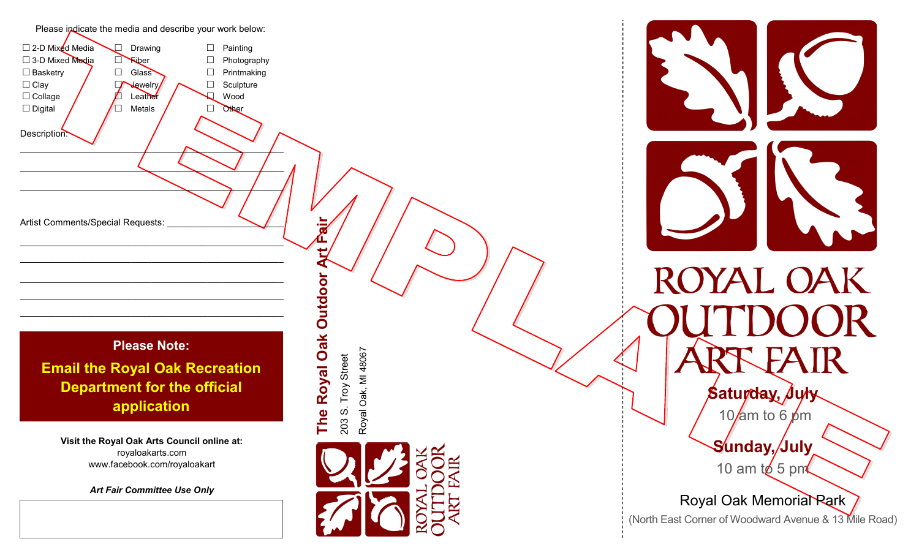

*Art Fair Committee Use Only*

Royal Oak, MI 48067 Royal Oak, MI 48067





# ROYAL OAK

**Saturday, July** 

10/am to 6  $\cancel{\rho}$ m

**Sunday, July** 10 am to 5 pm

Royal Oak Memorial Park (North East Corner of Woodward Avenue & 13 Mile Road)